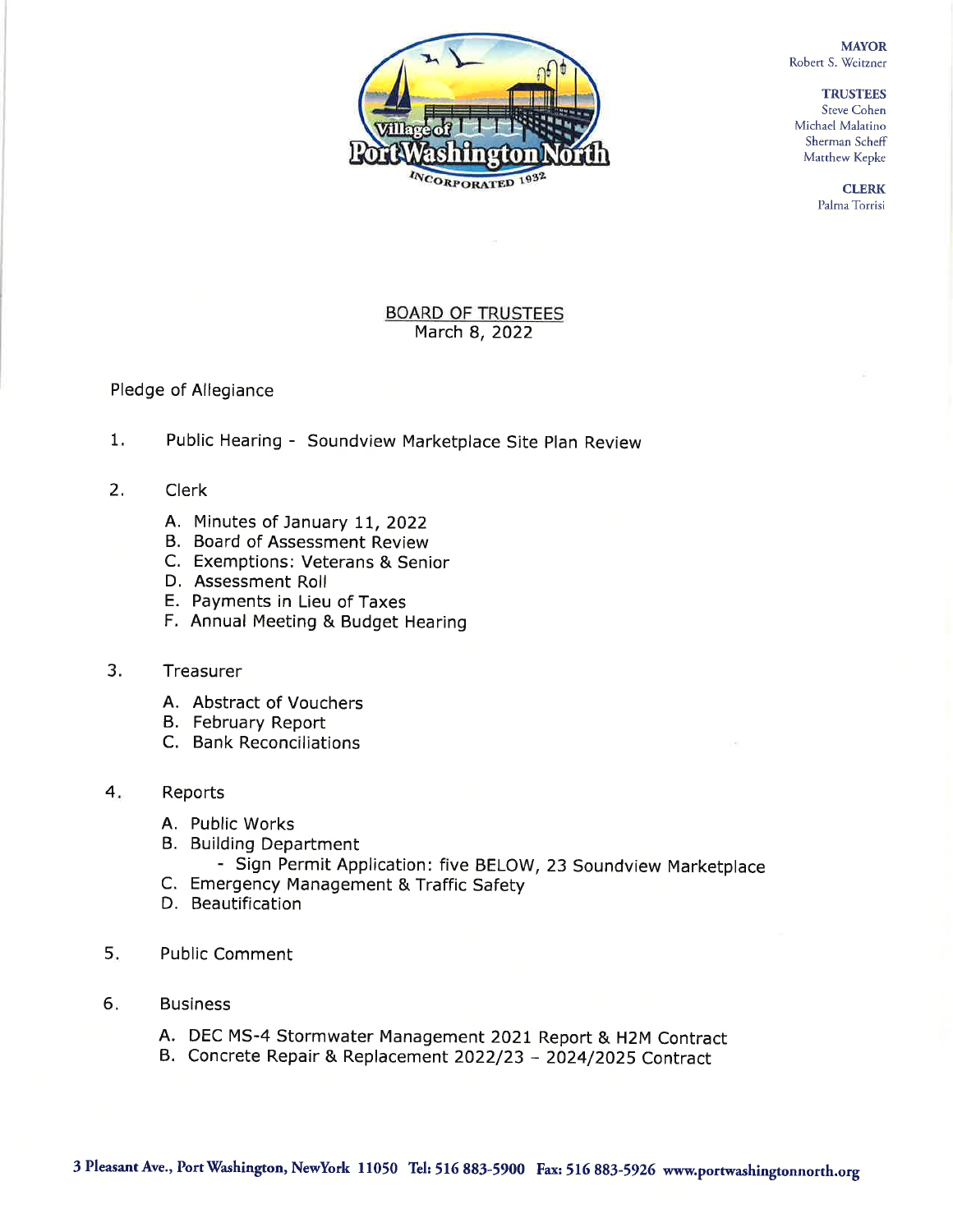**MAYOR** Robert S. Weitzner

> **TRUSTEES** Steve Cohen



Michael Malatino Sherman Scheff Matthew Kepke

> **CLERK** Palma Torrisi

## **BOARD OF TRUSTEES** March 8, 2022

## Pledge of Allegiance

- $1.$ Public Hearing - Soundview Marketplace Site Plan Review
- $2.$ **Clerk** 
	- A. Minutes of January 11, 2022
	- B. Board of Assessment Review
	- C. Exemptions: Veterans & Senior
	- D. Assessment Roll
	- E. Payments in Lieu of Taxes
	- F. Annual Meeting & Budget Hearing

## $3<sub>1</sub>$ Treasurer

- A. Abstract of Vouchers
- B. February Report
- C. Bank Reconciliations
- 4. Reports
	- A. Public Works
	- B. Building Department
		- Sign Permit Application: five BELOW, 23 Soundview Marketplace
	- C. Emergency Management & Traffic Safety
	- D. Beautification
- 5. **Public Comment**
- $6.$ **Business** 
	- A. DEC MS-4 Stormwater Management 2021 Report & H2M Contract
	- B. Concrete Repair & Replacement 2022/23 2024/2025 Contract